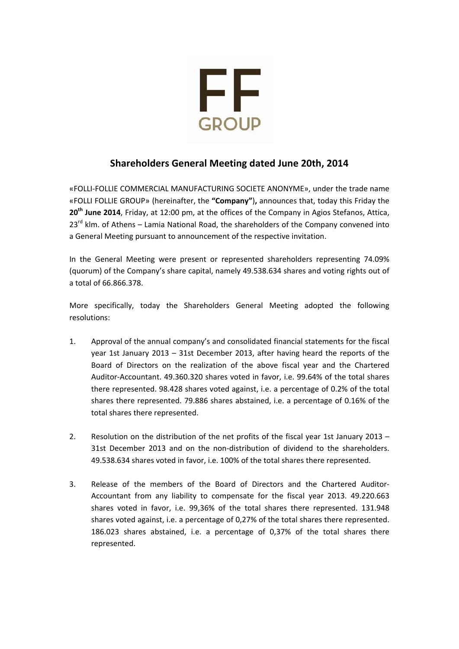

## **Shareholders General Μeeting dated June 20th, 2014**

«FOLLI‐FOLLIE COMMERCIAL MANUFACTURING SOCIETE ANONYME», under the trade name «FOLLI FOLLIE GROUP» (hereinafter, the **"Company"**)**,** announces that, today this Friday the **20th June 2014**, Friday, at 12:00 pm, at the offices of the Company in Agios Stefanos, Attica,  $23<sup>rd</sup>$  klm. of Athens – Lamia National Road, the shareholders of the Company convened into a General Meeting pursuant to announcement of the respective invitation.

In the General Meeting were present or represented shareholders representing 74.09% (quorum) of the Company's share capital, namely 49.538.634 shares and voting rights out of a total of 66.866.378.

More specifically, today the Shareholders General Meeting adopted the following resolutions:

- 1. Approval of the annual company's and consolidated financial statements for the fiscal year 1st January 2013 – 31st December 2013, after having heard the reports of the Board of Directors on the realization of the above fiscal year and the Chartered Auditor‐Accountant. 49.360.320 shares voted in favor, i.e. 99.64% of the total shares there represented. 98.428 shares voted against, i.e. a percentage of 0.2% of the total shares there represented. 79.886 shares abstained, i.e. a percentage of 0.16% of the total shares there represented.
- 2. Resolution on the distribution of the net profits of the fiscal year 1st January 2013 31st December 2013 and on the non‐distribution of dividend to the shareholders. 49.538.634 shares voted in favor, i.e. 100% of the total shares there represented.
- 3. Release of the members of the Board of Directors and the Chartered Auditor‐ Accountant from any liability to compensate for the fiscal year 2013. 49.220.663 shares voted in favor, i.e. 99,36% of the total shares there represented. 131.948 shares voted against, i.e. a percentage of 0,27% of the total shares there represented. 186.023 shares abstained, i.e. a percentage of 0,37% of the total shares there represented.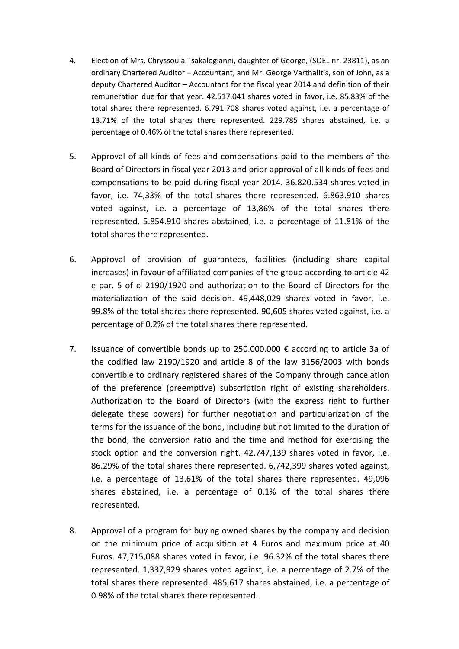- 4. Election of Mrs. Chryssoula Tsakalogianni, daughter of George, (SOEL nr. 23811), as an ordinary Chartered Auditor – Accountant, and Mr. George Varthalitis, son of John, as a deputy Chartered Auditor – Accountant for the fiscal year 2014 and definition of their remuneration due for that year. 42.517.041 shares voted in favor, i.e. 85.83% of the total shares there represented. 6.791.708 shares voted against, i.e. a percentage of 13.71% of the total shares there represented. 229.785 shares abstained, i.e. a percentage of 0.46% of the total shares there represented.
- 5. Approval of all kinds of fees and compensations paid to the members of the Board of Directors in fiscal year 2013 and prior approval of all kinds of fees and compensations to be paid during fiscal year 2014. 36.820.534 shares voted in favor, i.e. 74,33% of the total shares there represented. 6.863.910 shares voted against, i.e. a percentage of 13,86% of the total shares there represented. 5.854.910 shares abstained, i.e. a percentage of 11.81% of the total shares there represented.
- 6. Approval of provision of guarantees, facilities (including share capital increases) in favour of affiliated companies of the group according to article 42 e par. 5 of cl 2190/1920 and authorization to the Board of Directors for the materialization of the said decision. 49,448,029 shares voted in favor, i.e. 99.8% of the total shares there represented. 90,605 shares voted against, i.e. a percentage of 0.2% of the total shares there represented.
- 7. Issuance of convertible bonds up to 250.000.000  $\epsilon$  according to article 3a of the codified law 2190/1920 and article 8 of the law 3156/2003 with bonds convertible to ordinary registered shares of the Company through cancelation of the preference (preemptive) subscription right of existing shareholders. Authorization to the Board of Directors (with the express right to further delegate these powers) for further negotiation and particularization of the terms for the issuance of the bond, including but not limited to the duration of the bond, the conversion ratio and the time and method for exercising the stock option and the conversion right. 42,747,139 shares voted in favor, i.e. 86.29% of the total shares there represented. 6,742,399 shares voted against, i.e. a percentage of 13.61% of the total shares there represented. 49,096 shares abstained, i.e. a percentage of 0.1% of the total shares there represented.
- 8. Approval of a program for buying owned shares by the company and decision on the minimum price of acquisition at 4 Euros and maximum price at 40 Euros. 47,715,088 shares voted in favor, i.e. 96.32% of the total shares there represented. 1,337,929 shares voted against, i.e. a percentage of 2.7% of the total shares there represented. 485,617 shares abstained, i.e. a percentage of 0.98% of the total shares there represented.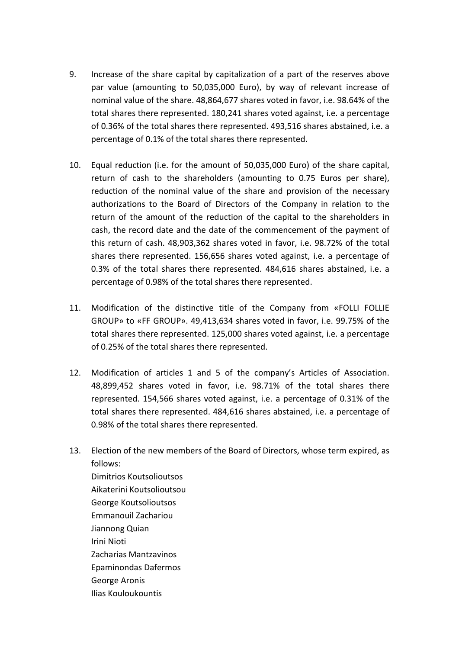- 9. Increase of the share capital by capitalization of a part of the reserves above par value (amounting to 50,035,000 Euro), by way of relevant increase of nominal value of the share. 48,864,677 shares voted in favor, i.e. 98.64% of the total shares there represented. 180,241 shares voted against, i.e. a percentage of 0.36% of the total shares there represented. 493,516 shares abstained, i.e. a percentage of 0.1% of the total shares there represented.
- 10. Equal reduction (i.e. for the amount of 50,035,000 Euro) of the share capital, return of cash to the shareholders (amounting to 0.75 Euros per share), reduction of the nominal value of the share and provision of the necessary authorizations to the Board of Directors of the Company in relation to the return of the amount of the reduction οf the capital to the shareholders in cash, the record date and the date of the commencement of the payment of this return of cash. 48,903,362 shares voted in favor, i.e. 98.72% of the total shares there represented. 156,656 shares voted against, i.e. a percentage of 0.3% of the total shares there represented. 484,616 shares abstained, i.e. a percentage of 0.98% of the total shares there represented.
- 11. Modification of the distinctive title of the Company from «FOLLI FOLLIE GROUP» to «FF GROUP». 49,413,634 shares voted in favor, i.e. 99.75% of the total shares there represented. 125,000 shares voted against, i.e. a percentage of 0.25% of the total shares there represented.
- 12. Modification of articles 1 and 5 οf the company's Articles of Association. 48,899,452 shares voted in favor, i.e. 98.71% of the total shares there represented. 154,566 shares voted against, i.e. a percentage of 0.31% of the total shares there represented. 484,616 shares abstained, i.e. a percentage of 0.98% of the total shares there represented.
- 13. Election of the new members of the Board of Directors, whose term expired, as follows:

Dimitrios Koutsolioutsos Aikaterini Koutsolioutsou George Koutsolioutsos Emmanouil Zachariou Jiannong Quian Irini Nioti Zacharias Mantzavinos Epaminondas Dafermos George Aronis Ilias Kouloukountis